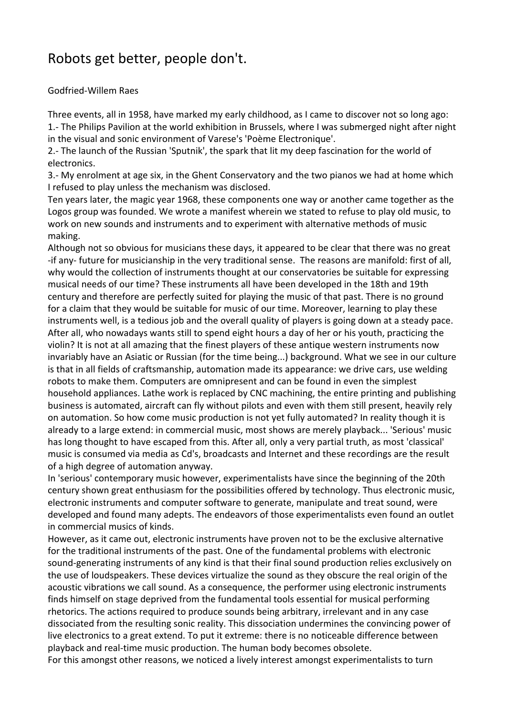# Robots get better, people don't.

### Godfried-Willem Raes

Three events, all in 1958, have marked my early childhood, as I came to discover not so long ago: 1.- The Philips Pavilion at the world exhibition in Brussels, where I was submerged night after night in the visual and sonic environment of Varese's 'Poème Electronique'.

2.- The launch of the Russian 'Sputnik', the spark that lit my deep fascination for the world of electronics.

3.- My enrolment at age six, in the Ghent Conservatory and the two pianos we had at home which I refused to play unless the mechanism was disclosed.

Ten years later, the magic year 1968, these components one way or another came together as the Logos group was founded. We wrote a manifest wherein we stated to refuse to play old music, to work on new sounds and instruments and to experiment with alternative methods of music making.

Although not so obvious for musicians these days, it appeared to be clear that there was no great -if any- future for musicianship in the very traditional sense. The reasons are manifold: first of all, why would the collection of instruments thought at our conservatories be suitable for expressing musical needs of our time? These instruments all have been developed in the 18th and 19th century and therefore are perfectly suited for playing the music of that past. There is no ground for a claim that they would be suitable for music of our time. Moreover, learning to play these instruments well, is a tedious job and the overall quality of players is going down at a steady pace. After all, who nowadays wants still to spend eight hours a day of her or his youth, practicing the violin? It is not at all amazing that the finest players of these antique western instruments now invariably have an Asiatic or Russian (for the time being...) background. What we see in our culture is that in all fields of craftsmanship, automation made its appearance: we drive cars, use welding robots to make them. Computers are omnipresent and can be found in even the simplest household appliances. Lathe work is replaced by CNC machining, the entire printing and publishing business is automated, aircraft can fly without pilots and even with them still present, heavily rely on automation. So how come music production is not yet fully automated? In reality though it is already to a large extend: in commercial music, most shows are merely playback... 'Serious' music has long thought to have escaped from this. After all, only a very partial truth, as most 'classical' music is consumed via media as Cd's, broadcasts and Internet and these recordings are the result of a high degree of automation anyway.

In 'serious' contemporary music however, experimentalists have since the beginning of the 20th century shown great enthusiasm for the possibilities offered by technology. Thus electronic music, electronic instruments and computer software to generate, manipulate and treat sound, were developed and found many adepts. The endeavors of those experimentalists even found an outlet in commercial musics of kinds.

However, as it came out, electronic instruments have proven not to be the exclusive alternative for the traditional instruments of the past. One of the fundamental problems with electronic sound-generating instruments of any kind is that their final sound production relies exclusively on the use of loudspeakers. These devices virtualize the sound as they obscure the real origin of the acoustic vibrations we call sound. As a consequence, the performer using electronic instruments finds himself on stage deprived from the fundamental tools essential for musical performing rhetorics. The actions required to produce sounds being arbitrary, irrelevant and in any case dissociated from the resulting sonic reality. This dissociation undermines the convincing power of live electronics to a great extend. To put it extreme: there is no noticeable difference between playback and real-time music production. The human body becomes obsolete.

For this amongst other reasons, we noticed a lively interest amongst experimentalists to turn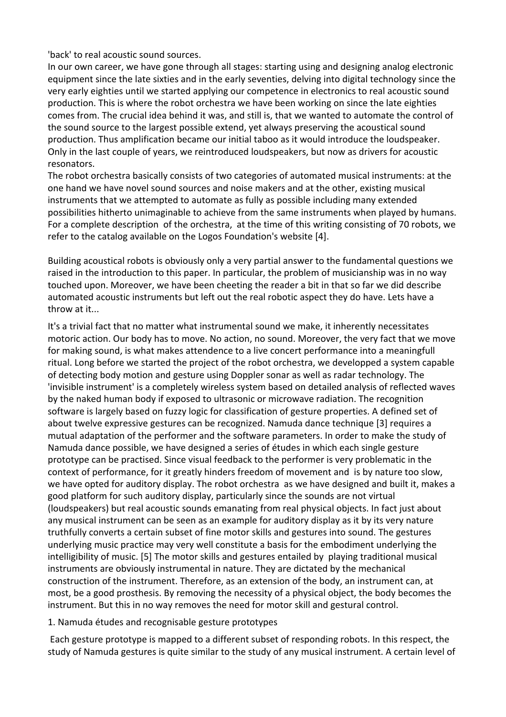'back' to real acoustic sound sources.

In our own career, we have gone through all stages: starting using and designing analog electronic equipment since the late sixties and in the early seventies, delving into digital technology since the very early eighties until we started applying our competence in electronics to real acoustic sound production. This is where the robot orchestra we have been working on since the late eighties comes from. The crucial idea behind it was, and still is, that we wanted to automate the control of the sound source to the largest possible extend, yet always preserving the acoustical sound production. Thus amplification became our initial taboo as it would introduce the loudspeaker. Only in the last couple of years, we reintroduced loudspeakers, but now as drivers for acoustic resonators.

The robot orchestra basically consists of two categories of automated musical instruments: at the one hand we have novel sound sources and noise makers and at the other, existing musical instruments that we attempted to automate as fully as possible including many extended possibilities hitherto unimaginable to achieve from the same instruments when played by humans. For a complete description of the orchestra, at the time of this writing consisting of 70 robots, we refer to the catalog available on the Logos Foundation's website [4].

Building acoustical robots is obviously only a very partial answer to the fundamental questions we raised in the introduction to this paper. In particular, the problem of musicianship was in no way touched upon. Moreover, we have been cheeting the reader a bit in that so far we did describe automated acoustic instruments but left out the real robotic aspect they do have. Lets have a throw at it...

It's a trivial fact that no matter what instrumental sound we make, it inherently necessitates motoric action. Our body has to move. No action, no sound. Moreover, the very fact that we move for making sound, is what makes attendence to a live concert performance into a meaningfull ritual. Long before we started the project of the robot orchestra, we developped a system capable of detecting body motion and gesture using Doppler sonar as well as radar technology. The 'invisible instrument' is a completely wireless system based on detailed analysis of reflected waves by the naked human body if exposed to ultrasonic or microwave radiation. The recognition software is largely based on fuzzy logic for classification of gesture properties. A defined set of about twelve expressive gestures can be recognized. Namuda dance technique [3] requires a mutual adaptation of the performer and the software parameters. In order to make the study of Namuda dance possible, we have designed a series of études in which each single gesture prototype can be practised. Since visual feedback to the performer is very problematic in the context of performance, for it greatly hinders freedom of movement and is by nature too slow, we have opted for auditory display. The robot orchestra as we have designed and built it, makes a good platform for such auditory display, particularly since the sounds are not virtual (loudspeakers) but real acoustic sounds emanating from real physical objects. In fact just about any musical instrument can be seen as an example for auditory display as it by its very nature truthfully converts a certain subset of fine motor skills and gestures into sound. The gestures underlying music practice may very well constitute a basis for the embodiment underlying the intelligibility of music. [5] The motor skills and gestures entailed by playing traditional musical instruments are obviously instrumental in nature. They are dictated by the mechanical construction of the instrument. Therefore, as an extension of the body, an instrument can, at most, be a good prosthesis. By removing the necessity of a physical object, the body becomes the instrument. But this in no way removes the need for motor skill and gestural control.

#### 1. Namuda études and recognisable gesture prototypes

 Each gesture prototype is mapped to a different subset of responding robots. In this respect, the study of Namuda gestures is quite similar to the study of any musical instrument. A certain level of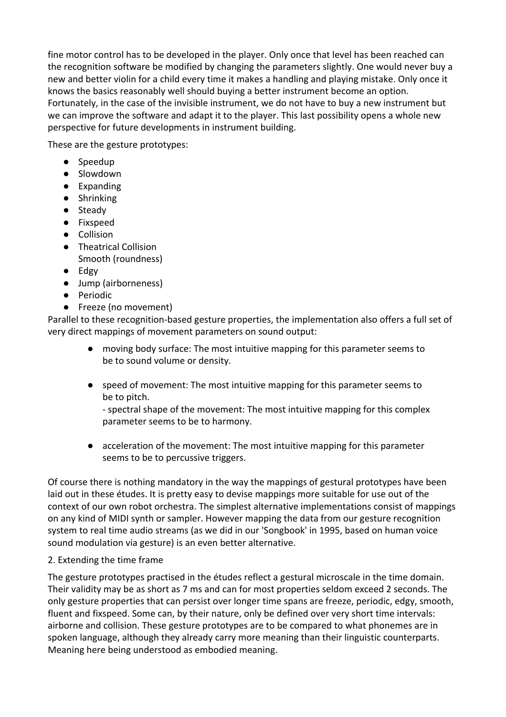fine motor control has to be developed in the player. Only once that level has been reached can the recognition software be modified by changing the parameters slightly. One would never buy a new and better violin for a child every time it makes a handling and playing mistake. Only once it knows the basics reasonably well should buying a better instrument become an option. Fortunately, in the case of the invisible instrument, we do not have to buy a new instrument but we can improve the software and adapt it to the player. This last possibility opens a whole new perspective for future developments in instrument building.

These are the gesture prototypes:

- Speedup
- Slowdown
- Expanding
- Shrinking
- Steady
- Fixspeed
- Collision
- Theatrical Collision Smooth (roundness)
- Edgy
- Jump (airborneness)
- Periodic
- Freeze (no movement)

Parallel to these recognition-based gesture properties, the implementation also offers a full set of very direct mappings of movement parameters on sound output:

- moving body surface: The most intuitive mapping for this parameter seems to be to sound volume or density.
- speed of movement: The most intuitive mapping for this parameter seems to be to pitch.

- spectral shape of the movement: The most intuitive mapping for this complex parameter seems to be to harmony.

● acceleration of the movement: The most intuitive mapping for this parameter seems to be to percussive triggers.

Of course there is nothing mandatory in the way the mappings of gestural prototypes have been laid out in these études. It is pretty easy to devise mappings more suitable for use out of the context of our own robot orchestra. The simplest alternative implementations consist of mappings on any kind of MIDI synth or sampler. However mapping the data from our gesture recognition system to real time audio streams (as we did in our 'Songbook' in 1995, based on human voice sound modulation via gesture) is an even better alternative.

## 2. Extending the time frame

The gesture prototypes practised in the études reflect a gestural microscale in the time domain. Their validity may be as short as 7 ms and can for most properties seldom exceed 2 seconds. The only gesture properties that can persist over longer time spans are freeze, periodic, edgy, smooth, fluent and fixspeed. Some can, by their nature, only be defined over very short time intervals: airborne and collision. These gesture prototypes are to be compared to what phonemes are in spoken language, although they already carry more meaning than their linguistic counterparts. Meaning here being understood as embodied meaning.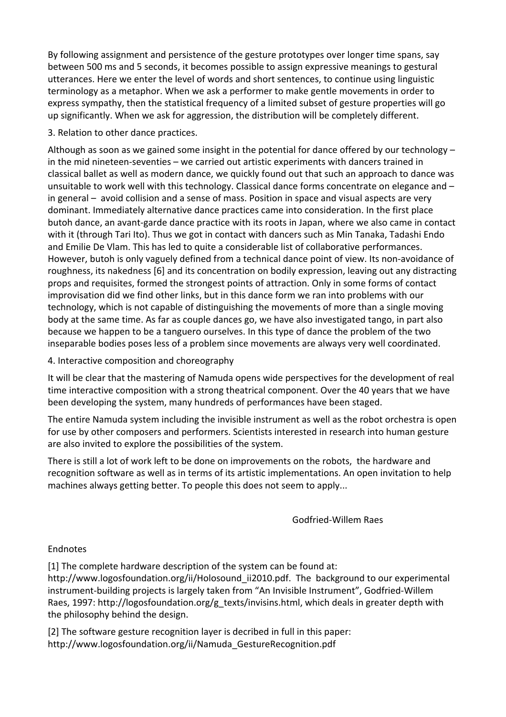By following assignment and persistence of the gesture prototypes over longer time spans, say between 500 ms and 5 seconds, it becomes possible to assign expressive meanings to gestural utterances. Here we enter the level of words and short sentences, to continue using linguistic terminology as a metaphor. When we ask a performer to make gentle movements in order to express sympathy, then the statistical frequency of a limited subset of gesture properties will go up significantly. When we ask for aggression, the distribution will be completely different.

3. Relation to other dance practices.

Although as soon as we gained some insight in the potential for dance offered by our technology – in the mid nineteen-seventies – we carried out artistic experiments with dancers trained in classical ballet as well as modern dance, we quickly found out that such an approach to dance was unsuitable to work well with this technology. Classical dance forms concentrate on elegance and – in general – avoid collision and a sense of mass. Position in space and visual aspects are very dominant. Immediately alternative dance practices came into consideration. In the first place butoh dance, an avant-garde dance practice with its roots in Japan, where we also came in contact with it (through Tari Ito). Thus we got in contact with dancers such as Min Tanaka, Tadashi Endo and Emilie De Vlam. This has led to quite a considerable list of collaborative performances. However, butoh is only vaguely defined from a technical dance point of view. Its non-avoidance of roughness, its nakedness [6] and its concentration on bodily expression, leaving out any distracting props and requisites, formed the strongest points of attraction. Only in some forms of contact improvisation did we find other links, but in this dance form we ran into problems with our technology, which is not capable of distinguishing the movements of more than a single moving body at the same time. As far as couple dances go, we have also investigated tango, in part also because we happen to be a tanguero ourselves. In this type of dance the problem of the two inseparable bodies poses less of a problem since movements are always very well coordinated.

4. Interactive composition and choreography

It will be clear that the mastering of Namuda opens wide perspectives for the development of real time interactive composition with a strong theatrical component. Over the 40 years that we have been developing the system, many hundreds of performances have been staged.

The entire Namuda system including the invisible instrument as well as the robot orchestra is open for use by other composers and performers. Scientists interested in research into human gesture are also invited to explore the possibilities of the system.

There is still a lot of work left to be done on improvements on the robots, the hardware and recognition software as well as in terms of its artistic implementations. An open invitation to help machines always getting better. To people this does not seem to apply...

Godfried-Willem Raes

## Endnotes

[1] The complete hardware description of the system can be found at: http://www.logosfoundation.org/ii/Holosound ii2010.pdf. The background to our experimental instrument-building projects is largely taken from "An Invisible Instrument", Godfried-Willem Raes, 1997: http://logosfoundation.org/g\_texts/invisins.html, which deals in greater depth with the philosophy behind the design.

[2] The software gesture recognition layer is decribed in full in this paper: http://www.logosfoundation.org/ii/Namuda\_GestureRecognition.pdf